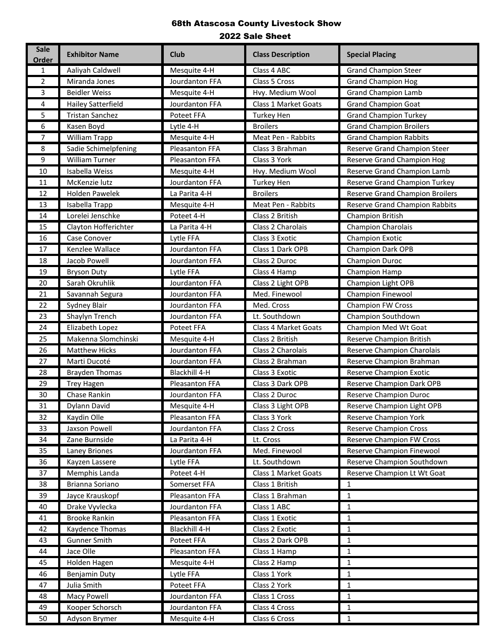| <b>Sale</b><br><b>Order</b> | <b>Exhibitor Name</b>     | <b>Club</b>    | <b>Class Description</b>    | <b>Special Placing</b>                 |
|-----------------------------|---------------------------|----------------|-----------------------------|----------------------------------------|
| $\mathbf{1}$                | Aaliyah Caldwell          | Mesquite 4-H   | Class 4 ABC                 | <b>Grand Champion Steer</b>            |
| $\overline{2}$              | Miranda Jones             | Jourdanton FFA | Class 5 Cross               | <b>Grand Champion Hog</b>              |
| 3                           | <b>Beidler Weiss</b>      | Mesquite 4-H   | Hvy. Medium Wool            | <b>Grand Champion Lamb</b>             |
| 4                           | <b>Hailey Satterfield</b> | Jourdanton FFA | <b>Class 1 Market Goats</b> | <b>Grand Champion Goat</b>             |
| 5                           | <b>Tristan Sanchez</b>    | Poteet FFA     | Turkey Hen                  | <b>Grand Champion Turkey</b>           |
| 6                           | Kasen Boyd                | Lytle 4-H      | <b>Broilers</b>             | <b>Grand Champion Broilers</b>         |
| 7                           | William Trapp             | Mesquite 4-H   | Meat Pen - Rabbits          | <b>Grand Champion Rabbits</b>          |
| 8                           | Sadie Schimelpfening      | Pleasanton FFA | Class 3 Brahman             | Reserve Grand Champion Steer           |
| 9                           | <b>William Turner</b>     | Pleasanton FFA | Class 3 York                | Reserve Grand Champion Hog             |
| 10                          | Isabella Weiss            | Mesquite 4-H   | Hvy. Medium Wool            | Reserve Grand Champion Lamb            |
| 11                          | McKenzie lutz             | Jourdanton FFA | <b>Turkey Hen</b>           | Reserve Grand Champion Turkey          |
| 12                          | <b>Holden Pawelek</b>     | La Parita 4-H  | <b>Broilers</b>             | <b>Reserve Grand Champion Broilers</b> |
| 13                          | Isabella Trapp            | Mesquite 4-H   | Meat Pen - Rabbits          | Reserve Grand Champion Rabbits         |
| 14                          | Lorelei Jenschke          | Poteet 4-H     | Class 2 British             | <b>Champion British</b>                |
| 15                          | Clayton Hofferichter      | La Parita 4-H  | Class 2 Charolais           | Champion Charolais                     |
| 16                          | Case Conover              | Lytle FFA      | Class 3 Exotic              | Champion Exotic                        |
| 17                          | Kenzlee Wallace           | Jourdanton FFA | Class 1 Dark OPB            | <b>Champion Dark OPB</b>               |
| 18                          | Jacob Powell              | Jourdanton FFA | Class 2 Duroc               | Champion Duroc                         |
| 19                          | <b>Bryson Duty</b>        | Lytle FFA      | Class 4 Hamp                | Champion Hamp                          |
| 20                          | Sarah Okruhlik            | Jourdanton FFA | Class 2 Light OPB           | Champion Light OPB                     |
| 21                          | Savannah Segura           | Jourdanton FFA | Med. Finewool               | <b>Champion Finewool</b>               |
| 22                          | Sydney Blair              | Jourdanton FFA | Med. Cross                  | <b>Champion FW Cross</b>               |
| 23                          | Shaylyn Trench            | Jourdanton FFA | Lt. Southdown               | Champion Southdown                     |
| 24                          | Elizabeth Lopez           | Poteet FFA     | Class 4 Market Goats        | Champion Med Wt Goat                   |
| 25                          | Makenna Slomchinski       | Mesquite 4-H   | Class 2 British             | Reserve Champion British               |
| 26                          | <b>Matthew Hicks</b>      | Jourdanton FFA | Class 2 Charolais           | Reserve Champion Charolais             |
| 27                          | Marti Ducoté              | Jourdanton FFA | Class 2 Brahman             | Reserve Champion Brahman               |
| 28                          | <b>Brayden Thomas</b>     | Blackhill 4-H  | Class 3 Exotic              | <b>Reserve Champion Exotic</b>         |
| 29                          | <b>Trey Hagen</b>         | Pleasanton FFA | Class 3 Dark OPB            | Reserve Champion Dark OPB              |
| 30                          | Chase Rankin              | Jourdanton FFA | Class 2 Duroc               | Reserve Champion Duroc                 |
| 31                          | Dylann David              | Mesquite 4-H   | Class 3 Light OPB           | <b>Reserve Champion Light OPB</b>      |
| 32                          | Kaydin Olle               | Pleasanton FFA | Class 3 York                | <b>Reserve Champion York</b>           |
| 33                          | Jaxson Powell             | Jourdanton FFA | Class 2 Cross               | <b>Reserve Champion Cross</b>          |
| 34                          | Zane Burnside             | La Parita 4-H  | Lt. Cross                   | <b>Reserve Champion FW Cross</b>       |
| 35                          | Laney Briones             | Jourdanton FFA | Med. Finewool               | Reserve Champion Finewool              |
| 36                          | Kayzen Lassere            | Lytle FFA      | Lt. Southdown               | Reserve Champion Southdown             |
| 37                          | Memphis Landa             | Poteet 4-H     | Class 1 Market Goats        | Reserve Champion Lt Wt Goat            |
| 38                          | Brianna Soriano           | Somerset FFA   | Class 1 British             | $\mathbf{1}$                           |
| 39                          | Jayce Krauskopf           | Pleasanton FFA | Class 1 Brahman             | $\mathbf{1}$                           |
| 40                          | Drake Vyvlecka            | Jourdanton FFA | Class 1 ABC                 | $\mathbf 1$                            |
| 41                          | <b>Brooke Rankin</b>      | Pleasanton FFA | Class 1 Exotic              | $\mathbf 1$                            |
| 42                          | Kaydence Thomas           | Blackhill 4-H  | Class 2 Exotic              | $\mathbf{1}$                           |
| 43                          | <b>Gunner Smith</b>       | Poteet FFA     | Class 2 Dark OPB            | $\mathbf{1}$                           |
| 44                          | Jace Olle                 | Pleasanton FFA | Class 1 Hamp                | 1                                      |
| 45                          | Holden Hagen              | Mesquite 4-H   | Class 2 Hamp                | $\mathbf 1$                            |
| 46                          | Benjamin Duty             | Lytle FFA      | Class 1 York                | $\mathbf 1$                            |
| 47                          | Julia Smith               | Poteet FFA     | Class 2 York                | $\mathbf 1$                            |
| 48                          | Macy Powell               | Jourdanton FFA | Class 1 Cross               | $\mathbf{1}$                           |
| 49                          | Kooper Schorsch           | Jourdanton FFA | Class 4 Cross               | $\mathbf{1}$                           |
| 50                          | Adyson Brymer             | Mesquite 4-H   | Class 6 Cross               | 1                                      |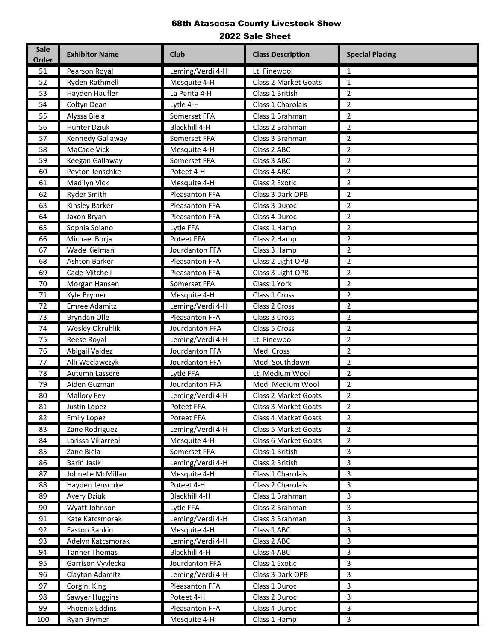| <b>Sale</b><br><b>Order</b> | <b>Exhibitor Name</b> | <b>Club</b>       | <b>Class Description</b>    | <b>Special Placing</b>  |
|-----------------------------|-----------------------|-------------------|-----------------------------|-------------------------|
| 51                          | Pearson Royal         | Leming/Verdi 4-H  | Lt. Finewool                | 1                       |
| 52                          | Ryden Rathmell        | Mesquite 4-H      | <b>Class 2 Market Goats</b> | $\mathbf{1}$            |
| 53                          | Hayden Haufler        | La Parita 4-H     | Class 1 British             | $\overline{2}$          |
| 54                          | Coltyn Dean           | Lytle 4-H         | Class 1 Charolais           | $\overline{2}$          |
| 55                          | Alyssa Biela          | Somerset FFA      | Class 1 Brahman             | $\overline{2}$          |
| 56                          | Hunter Dziuk          | Blackhill 4-H     | Class 2 Brahman             | $\overline{2}$          |
| 57                          | Kennedy Gallaway      | Somerset FFA      | Class 3 Brahman             | $\overline{2}$          |
| 58                          | MaCade Vick           | Mesquite 4-H      | Class 2 ABC                 | $\overline{2}$          |
| 59                          | Keegan Gallaway       | Somerset FFA      | Class 3 ABC                 | $\overline{2}$          |
| 60                          | Peyton Jenschke       | Poteet 4-H        | Class 4 ABC                 | $\overline{2}$          |
| 61                          | Madilyn Vick          | Mesquite 4-H      | Class 2 Exotic              | $\overline{2}$          |
| 62                          | <b>Ryder Smith</b>    | Pleasanton FFA    | Class 3 Dark OPB            | 2                       |
| 63                          | Kinsley Barker        | Pleasanton FFA    | Class 3 Duroc               | $\overline{2}$          |
| 64                          | Jaxon Bryan           | Pleasanton FFA    | Class 4 Duroc               | $\overline{2}$          |
| 65                          | Sophia Solano         | Lytle FFA         | Class 1 Hamp                | $\overline{2}$          |
| 66                          | Michael Borja         | <b>Poteet FFA</b> | Class 2 Hamp                | $\overline{2}$          |
| 67                          | Wade Kielman          | Jourdanton FFA    | Class 3 Hamp                | $\overline{2}$          |
| 68                          | Ashton Barker         | Pleasanton FFA    | Class 2 Light OPB           | $\overline{2}$          |
| 69                          | Cade Mitchell         | Pleasanton FFA    | Class 3 Light OPB           | $\overline{2}$          |
| 70                          | Morgan Hansen         | Somerset FFA      | Class 1 York                | $\overline{2}$          |
| 71                          | Kyle Brymer           | Mesquite 4-H      | Class 1 Cross               | $\overline{2}$          |
| 72                          | <b>Emree Adamitz</b>  | Leming/Verdi 4-H  | Class 2 Cross               | $\overline{2}$          |
| 73                          | Bryndan Olle          | Pleasanton FFA    | Class 3 Cross               | $\overline{2}$          |
| 74                          | Wesley Okruhlik       | Jourdanton FFA    | Class 5 Cross               | $\overline{2}$          |
| 75                          | Reese Royal           | Leming/Verdi 4-H  | Lt. Finewool                | 2                       |
| 76                          | Abigail Valdez        | Jourdanton FFA    | Med. Cross                  | $\overline{2}$          |
| $77$                        | Alli Waclawczyk       | Jourdanton FFA    | Med. Southdown              | $\overline{2}$          |
| 78                          | Autumn Lassere        | Lytle FFA         | Lt. Medium Wool             | $\overline{2}$          |
| 79                          | Aiden Guzman          | Jourdanton FFA    | Med. Medium Wool            | $\overline{2}$          |
| 80                          | Mallory Fey           | Leming/Verdi 4-H  | Class 2 Market Goats        | $\overline{2}$          |
| 81                          | Justin Lopez          | Poteet FFA        | Class 3 Market Goats        | $\overline{\mathbf{c}}$ |
| 82                          | <b>Emily Lopez</b>    | Poteet FFA        | Class 4 Market Goats        | $\overline{2}$          |
| 83                          | Zane Rodriguez        | Leming/Verdi 4-H  | Class 5 Market Goats        | $\overline{2}$          |
| 84                          | Larissa Villarreal    | Mesquite 4-H      | Class 6 Market Goats        | $\overline{2}$          |
| 85                          | Zane Biela            | Somerset FFA      | Class 1 British             | 3                       |
| 86                          | Barin Jasik           | Leming/Verdi 4-H  | Class 2 British             | 3                       |
| 87                          | Johnelle McMillan     | Mesquite 4-H      | Class 1 Charolais           | 3                       |
| 88                          | Hayden Jenschke       | Poteet 4-H        | Class 2 Charolais           | 3                       |
| 89                          | <b>Avery Dziuk</b>    | Blackhill 4-H     | Class 1 Brahman             | $\overline{3}$          |
| 90                          | Wyatt Johnson         | Lytle FFA         | Class 2 Brahman             | 3                       |
| 91                          | Kate Katcsmorak       | Leming/Verdi 4-H  | Class 3 Brahman             | 3                       |
| 92                          | Easton Rankin         | Mesquite 4-H      | Class 1 ABC                 | 3                       |
| 93                          | Adelyn Katcsmorak     | Leming/Verdi 4-H  | Class 2 ABC                 | 3                       |
| 94                          | Tanner Thomas         | Blackhill 4-H     | Class 4 ABC                 | 3                       |
| 95                          | Garrison Vyvlecka     | Jourdanton FFA    | Class 1 Exotic              | 3                       |
| 96                          | Clayton Adamitz       | Leming/Verdi 4-H  | Class 3 Dark OPB            | 3                       |
| 97                          | Corgin. King          | Pleasanton FFA    | Class 1 Duroc               | 3                       |
| 98                          | Sawyer Huggins        | Poteet 4-H        | Class 2 Duroc               | 3                       |
| 99                          | Phoenix Eddins        | Pleasanton FFA    | Class 4 Duroc               | $\overline{3}$          |
| 100                         | Ryan Brymer           | Mesquite 4-H      | Class 1 Hamp                | 3                       |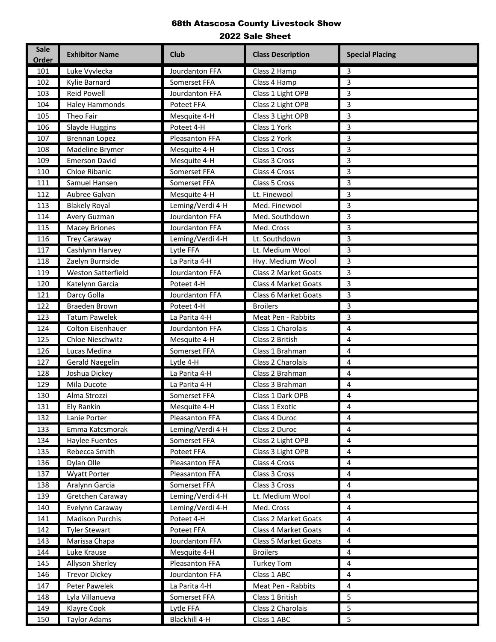| <b>Sale</b><br><b>Order</b> | <b>Exhibitor Name</b>     | <b>Club</b>      | <b>Class Description</b>    | <b>Special Placing</b>  |
|-----------------------------|---------------------------|------------------|-----------------------------|-------------------------|
| 101                         | Luke Vyvlecka             | Jourdanton FFA   | Class 2 Hamp                | 3                       |
| 102                         | Kylie Barnard             | Somerset FFA     | Class 4 Hamp                | 3                       |
| 103                         | <b>Reid Powell</b>        | Jourdanton FFA   | Class 1 Light OPB           | 3                       |
| 104                         | <b>Haley Hammonds</b>     | Poteet FFA       | Class 2 Light OPB           | 3                       |
| 105                         | Theo Fair                 | Mesquite 4-H     | Class 3 Light OPB           | 3                       |
| 106                         | Slayde Huggins            | Poteet 4-H       | Class 1 York                | 3                       |
| 107                         | <b>Brennan Lopez</b>      | Pleasanton FFA   | Class 2 York                | 3                       |
| 108                         | Madeline Brymer           | Mesquite 4-H     | Class 1 Cross               | 3                       |
| 109                         | <b>Emerson David</b>      | Mesquite 4-H     | Class 3 Cross               | 3                       |
| 110                         | Chloe Ribanic             | Somerset FFA     | Class 4 Cross               | 3                       |
| 111                         | Samuel Hansen             | Somerset FFA     | Class 5 Cross               | 3                       |
| 112                         | Aubree Galvan             | Mesquite 4-H     | Lt. Finewool                | 3                       |
| 113                         | <b>Blakely Royal</b>      | Leming/Verdi 4-H | Med. Finewool               | 3                       |
| 114                         | Avery Guzman              | Jourdanton FFA   | Med. Southdown              | 3                       |
| 115                         | <b>Macey Briones</b>      | Jourdanton FFA   | Med. Cross                  | 3                       |
| 116                         | <b>Trey Caraway</b>       | Leming/Verdi 4-H | Lt. Southdown               | 3                       |
| 117                         | Cashlynn Harvey           | Lytle FFA        | Lt. Medium Wool             | 3                       |
| 118                         | Zaelyn Burnside           | La Parita 4-H    | Hvy. Medium Wool            | 3                       |
| 119                         | <b>Weston Satterfield</b> | Jourdanton FFA   | <b>Class 2 Market Goats</b> | 3                       |
| 120                         | Katelynn Garcia           | Poteet 4-H       | <b>Class 4 Market Goats</b> | 3                       |
| 121                         | Darcy Golla               | Jourdanton FFA   | Class 6 Market Goats        | 3                       |
| 122                         | <b>Braeden Brown</b>      | Poteet 4-H       | <b>Broilers</b>             | 3                       |
| 123                         | <b>Tatum Pawelek</b>      | La Parita 4-H    | Meat Pen - Rabbits          | 3                       |
| 124                         | Colton Eisenhauer         | Jourdanton FFA   | Class 1 Charolais           | 4                       |
| 125                         | Chloe Nieschwitz          | Mesquite 4-H     | Class 2 British             | 4                       |
| 126                         | Lucas Medina              | Somerset FFA     | Class 1 Brahman             | 4                       |
| 127                         | <b>Gerald Naegelin</b>    | Lytle 4-H        | Class 2 Charolais           | 4                       |
| 128                         | Joshua Dickey             | La Parita 4-H    | Class 2 Brahman             | 4                       |
| 129                         | Mila Ducote               | La Parita 4-H    | Class 3 Brahman             | 4                       |
| 130                         | Alma Strozzi              | Somerset FFA     | Class 1 Dark OPB            | 4                       |
| 131                         | <b>Ely Rankin</b>         | Mesquite 4-H     | Class 1 Exotic              | 4                       |
| 132                         | Lanie Porter              | Pleasanton FFA   | Class 4 Duroc               | 4                       |
| 133                         | Emma Katcsmorak           | Leming/Verdi 4-H | Class 2 Duroc               | 4                       |
| 134                         | <b>Haylee Fuentes</b>     | Somerset FFA     | Class 2 Light OPB           | $\overline{\mathbf{4}}$ |
| 135                         | Rebecca Smith             | Poteet FFA       | Class 3 Light OPB           | 4                       |
| 136                         | Dylan Olle                | Pleasanton FFA   | Class 4 Cross               | 4                       |
| 137                         | <b>Wyatt Porter</b>       | Pleasanton FFA   | Class 3 Cross               | 4                       |
| 138                         | Aralynn Garcia            | Somerset FFA     | Class 3 Cross               | 4                       |
| 139                         | Gretchen Caraway          | Leming/Verdi 4-H | Lt. Medium Wool             | 4                       |
| 140                         | Evelynn Caraway           | Leming/Verdi 4-H | Med. Cross                  | 4                       |
| 141                         | <b>Madison Purchis</b>    | Poteet 4-H       | Class 2 Market Goats        | 4                       |
| 142                         | <b>Tyler Stewart</b>      | Poteet FFA       | Class 4 Market Goats        | 4                       |
| 143                         | Marissa Chapa             | Jourdanton FFA   | Class 5 Market Goats        | 4                       |
| 144                         | Luke Krause               | Mesquite 4-H     | <b>Broilers</b>             | $\overline{4}$          |
| 145                         | Allyson Sherley           | Pleasanton FFA   | <b>Turkey Tom</b>           | 4                       |
| 146                         | <b>Trevor Dickey</b>      | Jourdanton FFA   | Class 1 ABC                 | 4                       |
| 147                         | Peter Pawelek             | La Parita 4-H    | Meat Pen - Rabbits          | 4                       |
| 148                         | Lyla Villanueva           | Somerset FFA     | Class 1 British             | 5                       |
| 149                         | Klayre Cook               | Lytle FFA        | Class 2 Charolais           | 5                       |
| 150                         | <b>Taylor Adams</b>       | Blackhill 4-H    | Class 1 ABC                 | 5                       |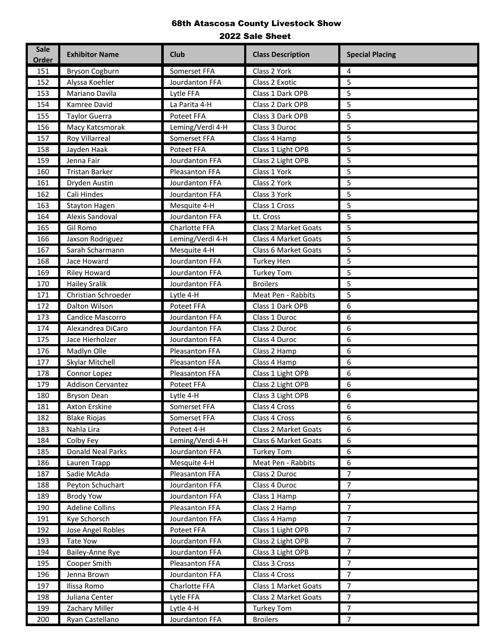| <b>Sale</b><br><b>Order</b> | <b>Exhibitor Name</b>    | <b>Club</b>      | <b>Class Description</b>    | <b>Special Placing</b> |
|-----------------------------|--------------------------|------------------|-----------------------------|------------------------|
| 151                         | <b>Bryson Cogburn</b>    | Somerset FFA     | Class 2 York                | 4                      |
| 152                         | Alyssa Koehler           | Jourdanton FFA   | Class 2 Exotic              | 5                      |
| 153                         | Mariano Davila           | Lytle FFA        | Class 1 Dark OPB            | 5                      |
| 154                         | Kamree David             | La Parita 4-H    | Class 2 Dark OPB            | 5                      |
| 155                         | <b>Taylor Guerra</b>     | Poteet FFA       | Class 3 Dark OPB            | 5                      |
| 156                         | Macy Katcsmorak          | Leming/Verdi 4-H | Class 3 Duroc               | 5                      |
| 157                         | <b>Roy Villarreal</b>    | Somerset FFA     | Class 4 Hamp                | 5                      |
| 158                         | Jayden Haak              | Poteet FFA       | Class 1 Light OPB           | 5                      |
| 159                         | Jenna Fair               | Jourdanton FFA   | Class 2 Light OPB           | 5                      |
| 160                         | <b>Tristan Barker</b>    | Pleasanton FFA   | Class 1 York                | 5                      |
| 161                         | Dryden Austin            | Jourdanton FFA   | Class 2 York                | 5                      |
| 162                         | Cali Hindes              | Jourdanton FFA   | Class 3 York                | 5                      |
| 163                         | <b>Stayton Hagen</b>     | Mesquite 4-H     | Class 1 Cross               | 5                      |
| 164                         | Alexis Sandoval          | Jourdanton FFA   | Lt. Cross                   | 5                      |
| 165                         | <b>Gil Romo</b>          | Charlotte FFA    | <b>Class 2 Market Goats</b> | 5                      |
| 166                         | Jaxson Rodriguez         | Leming/Verdi 4-H | Class 4 Market Goats        | 5                      |
| 167                         | Sarah Scharmann          | Mesquite 4-H     | Class 6 Market Goats        | 5                      |
| 168                         | Jace Howard              | Jourdanton FFA   | <b>Turkey Hen</b>           | 5                      |
| 169                         | Riley Howard             | Jourdanton FFA   | <b>Turkey Tom</b>           | 5                      |
| 170                         | <b>Hailey Sralik</b>     | Jourdanton FFA   | <b>Broilers</b>             | 5                      |
| 171                         | Christian Schroeder      | Lytle 4-H        | Meat Pen - Rabbits          | 5                      |
| 172                         | Dalton Wilson            | Poteet FFA       | Class 1 Dark OPB            | 6                      |
| 173                         | Candice Mascorro         | Jourdanton FFA   | Class 1 Duroc               | 6                      |
| 174                         | Alexandrea DiCaro        | Jourdanton FFA   | Class 2 Duroc               | 6                      |
| 175                         | Jace Hierholzer          | Jourdanton FFA   | Class 4 Duroc               | 6                      |
| 176                         | Madlyn Olle              | Pleasanton FFA   | Class 2 Hamp                | 6                      |
| 177                         | Skylar Mitchell          | Pleasanton FFA   | Class 4 Hamp                | 6                      |
| 178                         | Connor Lopez             | Pleasanton FFA   | Class 1 Light OPB           | 6                      |
| 179                         | <b>Addison Cervantez</b> | Poteet FFA       | Class 2 Light OPB           | 6                      |
| 180                         | <b>Bryson Dean</b>       | Lytle 4-H        | Class 3 Light OPB           | 6                      |
| 181                         | Axton Erskine            | Somerset FFA     | Class 4 Cross               | 6                      |
| 182                         | <b>Blake Riojas</b>      | Somerset FFA     | Class 4 Cross               | 6                      |
| 183                         | Nahla Lira               | Poteet 4-H       | Class 2 Market Goats        | 6                      |
| 184                         | Colby Fey                | Leming/Verdi 4-H | Class 6 Market Goats        | 6                      |
| 185                         | <b>Donald Neal Parks</b> | Jourdanton FFA   | <b>Turkey Tom</b>           | 6                      |
| 186                         | Lauren Trapp             | Mesquite 4-H     | Meat Pen - Rabbits          | 6                      |
| 187                         | Sadie McAda              | Pleasanton FFA   | Class 2 Duroc               | $\overline{7}$         |
| 188                         | Peyton Schuchart         | Jourdanton FFA   | Class 4 Duroc               | $\overline{7}$         |
| 189                         | <b>Brody Yow</b>         | Jourdanton FFA   | Class 1 Hamp                | $\overline{7}$         |
| 190                         | <b>Adeline Collins</b>   | Pleasanton FFA   | Class 2 Hamp                | $\overline{7}$         |
| 191                         | Kye Schorsch             | Jourdanton FFA   | Class 4 Hamp                | $\overline{7}$         |
| 192                         | Jose Angel Robles        | Poteet FFA       | Class 1 Light OPB           | $\overline{7}$         |
| 193                         | <b>Tate Yow</b>          | Jourdanton FFA   | Class 2 Light OPB           | 7                      |
| 194                         | Bailey-Anne Rye          | Jourdanton FFA   | Class 3 Light OPB           | $\overline{7}$         |
| 195                         | Cooper Smith             | Pleasanton FFA   | Class 3 Cross               | 7                      |
| 196                         | Jenna Brown              | Jourdanton FFA   | Class 4 Cross               | $\overline{7}$         |
| 197                         | Ilissa Romo              | Charlotte FFA    | Class 1 Market Goats        | $\overline{7}$         |
| 198                         | Juliana Center           | Lytle FFA        | Class 2 Market Goats        | $\overline{7}$         |
| 199                         | Zachary Miller           | Lytle 4-H        | <b>Turkey Tom</b>           | $\overline{7}$         |
| 200                         | Ryan Castellano          | Jourdanton FFA   | <b>Broilers</b>             | $\overline{7}$         |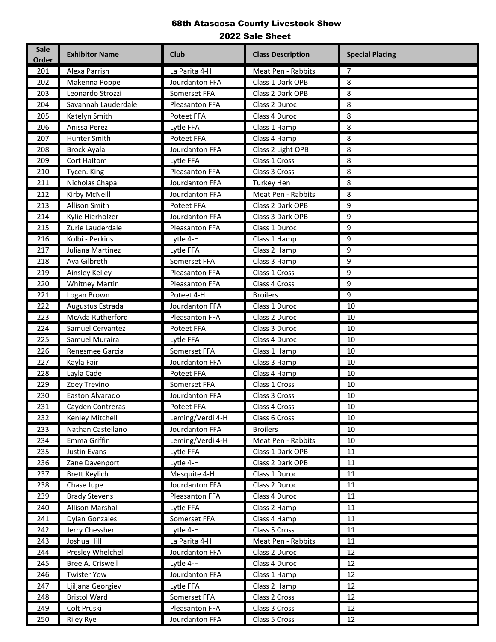| <b>Sale</b><br><b>Exhibitor Name</b><br><b>Club</b><br><b>Class Description</b><br><b>Order</b>                     | <b>Special Placing</b> |
|---------------------------------------------------------------------------------------------------------------------|------------------------|
| Alexa Parrish<br>La Parita 4-H<br>Meat Pen - Rabbits<br>201                                                         | 7                      |
| Makenna Poppe<br>Class 1 Dark OPB<br>Jourdanton FFA<br>202                                                          | 8                      |
| Leonardo Strozzi<br>Somerset FFA<br>Class 2 Dark OPB<br>203                                                         | 8                      |
| Savannah Lauderdale<br>Pleasanton FFA<br>Class 2 Duroc<br>204                                                       | 8                      |
| Katelyn Smith<br>Poteet FFA<br>Class 4 Duroc<br>205                                                                 | 8                      |
| 206<br>Anissa Perez<br>Class 1 Hamp<br>Lytle FFA                                                                    | 8                      |
| 207<br>Hunter Smith<br>Poteet FFA<br>Class 4 Hamp                                                                   | 8                      |
| Class 2 Light OPB<br>208<br><b>Brock Ayala</b><br>Jourdanton FFA                                                    | 8                      |
| Cort Haltom<br>Class 1 Cross<br>209<br>Lytle FFA                                                                    | 8                      |
| 210<br>Pleasanton FFA<br>Class 3 Cross<br>Tycen. King                                                               | 8                      |
| Nicholas Chapa<br>Jourdanton FFA<br>211<br><b>Turkey Hen</b>                                                        | 8                      |
| Kirby McNeill<br>Jourdanton FFA<br>Meat Pen - Rabbits<br>212                                                        | 8                      |
| Allison Smith<br>Poteet FFA<br>Class 2 Dark OPB<br>213                                                              | 9                      |
| Kylie Hierholzer<br>Jourdanton FFA<br>Class 3 Dark OPB<br>214                                                       | 9                      |
| Zurie Lauderdale<br>Pleasanton FFA<br>Class 1 Duroc<br>215                                                          | 9                      |
| Kolbi - Perkins<br>216<br>Class 1 Hamp<br>Lytle 4-H                                                                 | 9                      |
| Juliana Martinez<br>Lytle FFA<br>Class 2 Hamp<br>217                                                                | 9                      |
| Ava Gilbreth<br>Somerset FFA<br>218<br>Class 3 Hamp                                                                 | 9                      |
| Class 1 Cross<br>219<br>Ainsley Kelley<br>Pleasanton FFA                                                            | 9                      |
| 220<br><b>Whitney Martin</b><br>Pleasanton FFA<br>Class 4 Cross                                                     | 9                      |
| Poteet 4-H<br><b>Broilers</b><br>221<br>Logan Brown                                                                 | 9                      |
| Augustus Estrada<br>Jourdanton FFA<br>Class 1 Duroc<br>222                                                          | 10                     |
| McAda Rutherford<br>223<br>Pleasanton FFA<br>Class 2 Duroc                                                          | 10                     |
| Samuel Cervantez<br>Poteet FFA<br>Class 3 Duroc<br>224                                                              | 10                     |
| Samuel Muraira<br>225<br>Class 4 Duroc<br>Lytle FFA                                                                 | 10                     |
| Somerset FFA<br>226<br>Renesmee Garcia<br>Class 1 Hamp                                                              | 10                     |
| Kayla Fair<br>Jourdanton FFA<br>Class 3 Hamp<br>227                                                                 | 10                     |
| Poteet FFA<br>228<br>Layla Cade<br>Class 4 Hamp                                                                     | 10                     |
| Somerset FFA<br>Class 1 Cross<br>229<br>Zoey Trevino                                                                | 10                     |
| 230<br>Easton Alvarado<br>Jourdanton FFA<br>Class 3 Cross                                                           | 10                     |
| 231<br>Poteet FFA<br>Cayden Contreras<br>Class 4 Cross                                                              | $10\,$                 |
| Leming/Verdi 4-H<br>232<br>Kenley Mitchell<br>Class 6 Cross                                                         | 10                     |
| Nathan Castellano<br>Jourdanton FFA<br><b>Broilers</b><br>233                                                       | 10                     |
| Emma Griffin<br>Leming/Verdi 4-H<br>Meat Pen - Rabbits<br>234                                                       | 10                     |
| Justin Evans<br>Class 1 Dark OPB<br>235<br>Lytle FFA                                                                | 11                     |
| Class 2 Dark OPB<br>236<br>Zane Davenport<br>Lytle 4-H                                                              | 11                     |
| Mesquite 4-H<br>237<br><b>Brett Keylich</b><br>Class 1 Duroc                                                        | 11                     |
| Jourdanton FFA<br>238<br>Chase Jupe<br>Class 2 Duroc                                                                | $11\,$                 |
| Pleasanton FFA<br>239<br><b>Brady Stevens</b><br>Class 4 Duroc<br>Allison Marshall                                  | 11<br>11               |
| 240<br>Lytle FFA<br>Class 2 Hamp<br>Somerset FFA                                                                    | 11                     |
| <b>Dylan Gonzales</b><br>241<br>Class 4 Hamp                                                                        |                        |
| Jerry Chessher<br>Class 5 Cross<br>242<br>Lytle 4-H                                                                 | 11                     |
| Joshua Hill<br>La Parita 4-H<br>Meat Pen - Rabbits<br>243                                                           | 11<br>12               |
| Presley Whelchel<br>Jourdanton FFA<br>Class 2 Duroc<br>244<br>Bree A. Criswell<br>Lytle 4-H<br>Class 4 Duroc<br>245 | 12                     |
| <b>Twister Yow</b><br>Jourdanton FFA                                                                                | 12                     |
| Class 1 Hamp<br>246<br>247<br>Lytle FFA<br>Class 2 Hamp<br>Ljiljana Georgiev                                        | 12                     |
| Somerset FFA<br>248<br><b>Bristol Ward</b><br>Class 2 Cross                                                         | 12                     |
| 249<br>Colt Pruski<br>Pleasanton FFA<br>Class 3 Cross                                                               | 12                     |
| 250<br>Jourdanton FFA<br>Class 5 Cross<br><b>Riley Rye</b>                                                          | 12                     |